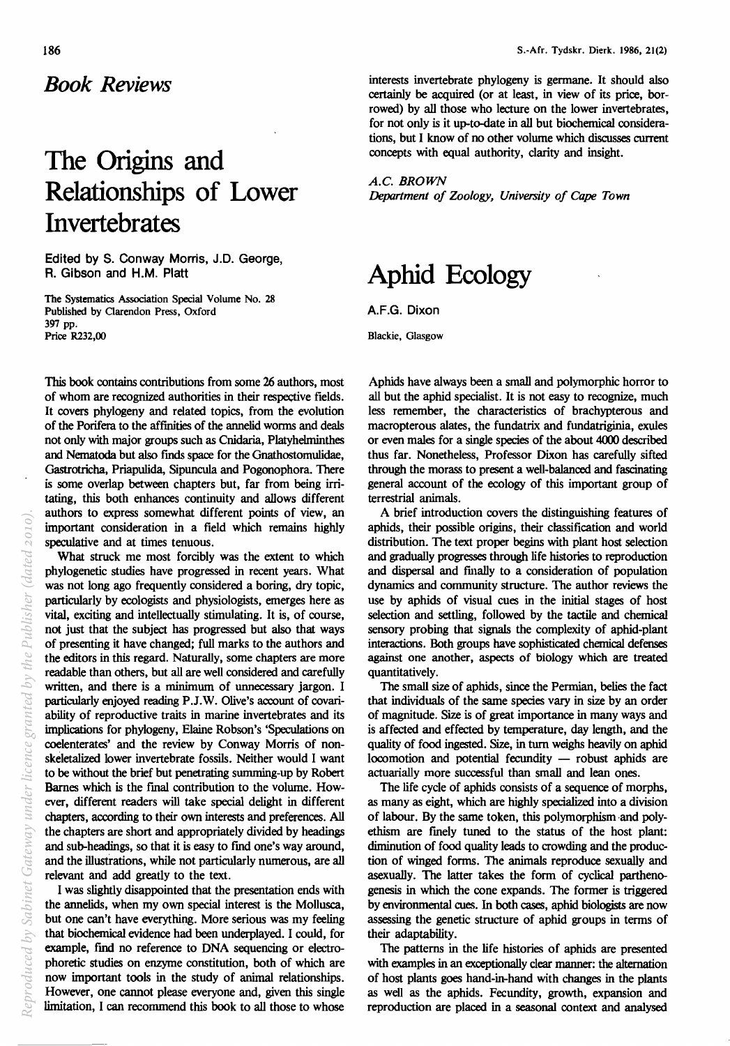### **Book** *Reviews*

# The Origins **and Relationships of Lower Invertebrates**

Edited by S. Conway Morris, J.D. George, R. Gibson and H.M. Platt

The Systematics Association Special Volume No. 28 Published by Oarendon Press, Oxford 397 pp. Price R232,OO

This book contains contributions from some 26 authors, most of whom are recognized authorities in their respective fields. It covers phylogeny and related topics, from the evolution of the Porifera to the affinities of the annelid worms and deals not only with major groups such as Cnidaria, Platyhelminthes and Nematoda but also fmds space for the Gnathostomulidae, Gastrotricha, Priapulida, Sipuncula and Pogonophora. There is some overlap between chapters but, far from being irritating, this both enhances continuity and allows different authors to express somewhat different points of view, an important consideration in a field which remains highly speculative and at times tenuous.

What struck me most forcibly was the extent to which phylogenetic studies have progressed in recent years. What was not long ago frequently considered a boring, dry topic, particularly by ecologists and physiologists, emerges here as vital, exciting and intellectually stimulating. It is, of course, not just that the subject has progressed but also that ways of presenting it have changed; full marks to the authors and the editors in this regard. Naturally, some chapters are more readable than others, but all are well considered and carefully written, and there is a minimum of unnecessary jargon. I particularly enjoyed reading P.J. W. Olive's account of covariability of reproductive traits in marine invertebrates and its implications for phylogeny, Elaine Robson's 'Speculations on coelenterates' and the review by Conway Morris of nonskeletalized lower invertebrate fossils. Neither would I want to be without the brief but penetrating summing-up by Robert Barnes which is the fmal contribution to the volume. However, different readers will take special delight in different chapters, according to their own interests and preferences. All the chapters are short and appropriately divided by headings and sub-headings, so that it is easy to fmd one's way around, and the illustrations, while not particularly numerous, are all relevant and add greatly to the text.

I was slightly disappointed that the presentation ends with the annelids, when my own special interest is the Mollusca, but one can't have everything. More serious was my feeling that biochemical evidence had been underplayed. I could, for example, fmd no reference to DNA sequencing or electrophoretic studies on enzyme constitution, both of which are now important tools in the study of animal relationships. However, one carmot please everyone and, given this single limitation, I can recommend this book to all those to whose

interests invertebrate phylogeny is germane. It should also certainly be acquired (or at least, in view of its price, borrowed) by all those who lecture on the lower invertebrates, for not only is it up-to-date in all but biochemical considerations, but I know of no other volume which discusses current concepts with equal authority, clarity and insight.

*A.C. BROWN Department of Zoology, University of Cape Town* 

### **Aphid Ecology**

A.F.G. Dixon

Blackie, Glasgow

Aphids have always been a small and polymorphic horror to all but the aphid specialist. It is not easy to recognize, much less remember, the characteristics of brachypterous and macropterous alates, the fundatrix and fundatriginia, exules or even males for a single species of the about 4000 described thus far. Nonetheless, Professor Dixon has carefully sifted through the morass to present a well-balanced and fascinating general account of the ecology of this important group of terrestrial animals.

A brief introduction covers the distinguishing features of aphids, their possible origins, their classification and world distribution. The text proper begins with plant host selection and gradually progresses through life histories to reproduction and dispersal and fmally to a consideration of population dynamics and community structure. The author reviews the use by aphids of visual cues in the initial stages of host selection and settling, followed by the tactile and chemical sensory probing that signals the complexity of aphid-plant interactions. Both groups have sophisticated chemical defenses against one another, aspects of biology which are treated quantitatively.

The small size of aphids, since the Permian, belies the fact that individuals of the same species vary in size by an order of magnitude. Size is of great importance in many ways and is affected and effected by temperature, day length, and the quality of food ingested. Size, in tum weighs heavily on aphid  $locomotion$  and potential fecundity  $-$  robust aphids are actuarially more successful than small and lean ones.

The life cycle of aphids consists of a sequence of morphs, as many as eight, which are highly specialized into a division of labour. By the same token, this polymorphism and polyethism are fmely tuned to the status of the host plant: diminution of food quality leads to crowding and the production of winged forms. The animals reproduce sexually and asexually. The latter takes the form of cyclical parthenogenesis in which the cone expands. The former is triggered by environmental cues. In both cases, aphid biologists are now assessing the genetic structure of aphid groups in terms of their adaptability.

The patterns in the life histories of aphids are presented with examples in an exceptionally clear manner: the alternation of host plants goes hand-in-hand with changes in the plants as well as the aphids. Fecundity, growth, expansion and reproduction are placed in a seasonal context and analysed

186